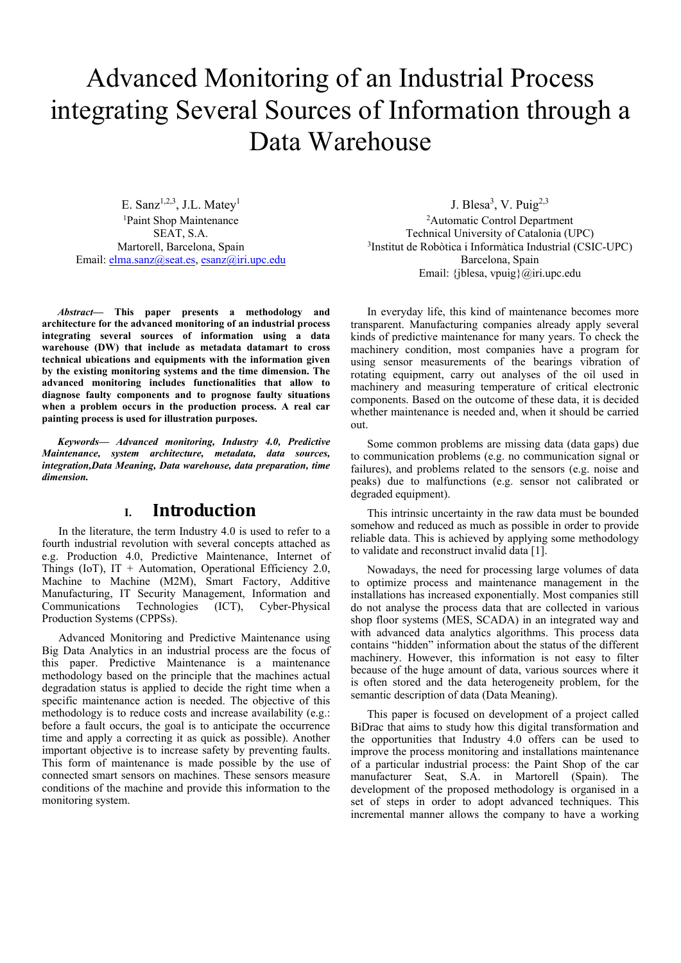# Advanced Monitoring of an Industrial Process integrating Several Sources of Information through a Data Warehouse

E. Sanz<sup>1,2,3</sup>, J.L. Matev<sup>1</sup> 1 Paint Shop Maintenance SEAT, S.A. Martorell, Barcelona, Spain Email: elma.sanz@seat.es, esanz@iri.upc.edu

*Abstract***— This paper presents a methodology and architecture for the advanced monitoring of an industrial process integrating several sources of information using a data warehouse (DW) that include as metadata datamart to cross technical ubications and equipments with the information given by the existing monitoring systems and the time dimension. The advanced monitoring includes functionalities that allow to diagnose faulty components and to prognose faulty situations when a problem occurs in the production process. A real car painting process is used for illustration purposes.** 

*Keywords— Advanced monitoring, Industry 4.0, Predictive Maintenance, system architecture, metadata, data sources, integration,Data Meaning, Data warehouse, data preparation, time dimension.* 

### **I. Introduction**

In the literature, the term Industry 4.0 is used to refer to a fourth industrial revolution with several concepts attached as e.g. Production 4.0, Predictive Maintenance, Internet of Things (IoT),  $IT +$  Automation, Operational Efficiency 2.0, Machine to Machine (M2M), Smart Factory, Additive Manufacturing, IT Security Management, Information and Communications Technologies (ICT), Cyber-Physical Production Systems (CPPSs).

Advanced Monitoring and Predictive Maintenance using Big Data Analytics in an industrial process are the focus of this paper. Predictive Maintenance is a maintenance methodology based on the principle that the machines actual degradation status is applied to decide the right time when a specific maintenance action is needed. The objective of this methodology is to reduce costs and increase availability (e.g.: before a fault occurs, the goal is to anticipate the occurrence time and apply a correcting it as quick as possible). Another important objective is to increase safety by preventing faults. This form of maintenance is made possible by the use of connected smart sensors on machines. These sensors measure conditions of the machine and provide this information to the monitoring system.

J. Blesa<sup>3</sup>, V. Puig<sup>2,3</sup>

2 Automatic Control Department Technical University of Catalonia (UPC) 3 Institut de Robòtica i Informàtica Industrial (CSIC-UPC) Barcelona, Spain Email: {jblesa, vpuig}@iri.upc.edu

In everyday life, this kind of maintenance becomes more transparent. Manufacturing companies already apply several kinds of predictive maintenance for many years. To check the machinery condition, most companies have a program for using sensor measurements of the bearings vibration of rotating equipment, carry out analyses of the oil used in machinery and measuring temperature of critical electronic components. Based on the outcome of these data, it is decided whether maintenance is needed and, when it should be carried out.

Some common problems are missing data (data gaps) due to communication problems (e.g. no communication signal or failures), and problems related to the sensors (e.g. noise and peaks) due to malfunctions (e.g. sensor not calibrated or degraded equipment).

This intrinsic uncertainty in the raw data must be bounded somehow and reduced as much as possible in order to provide reliable data. This is achieved by applying some methodology to validate and reconstruct invalid data [1].

 Nowadays, the need for processing large volumes of data to optimize process and maintenance management in the installations has increased exponentially. Most companies still do not analyse the process data that are collected in various shop floor systems (MES, SCADA) in an integrated way and with advanced data analytics algorithms. This process data contains "hidden" information about the status of the different machinery. However, this information is not easy to filter because of the huge amount of data, various sources where it is often stored and the data heterogeneity problem, for the semantic description of data (Data Meaning).

This paper is focused on development of a project called BiDrac that aims to study how this digital transformation and the opportunities that Industry 4.0 offers can be used to improve the process monitoring and installations maintenance of a particular industrial process: the Paint Shop of the car manufacturer Seat, S.A. in Martorell (Spain). The development of the proposed methodology is organised in a set of steps in order to adopt advanced techniques. This incremental manner allows the company to have a working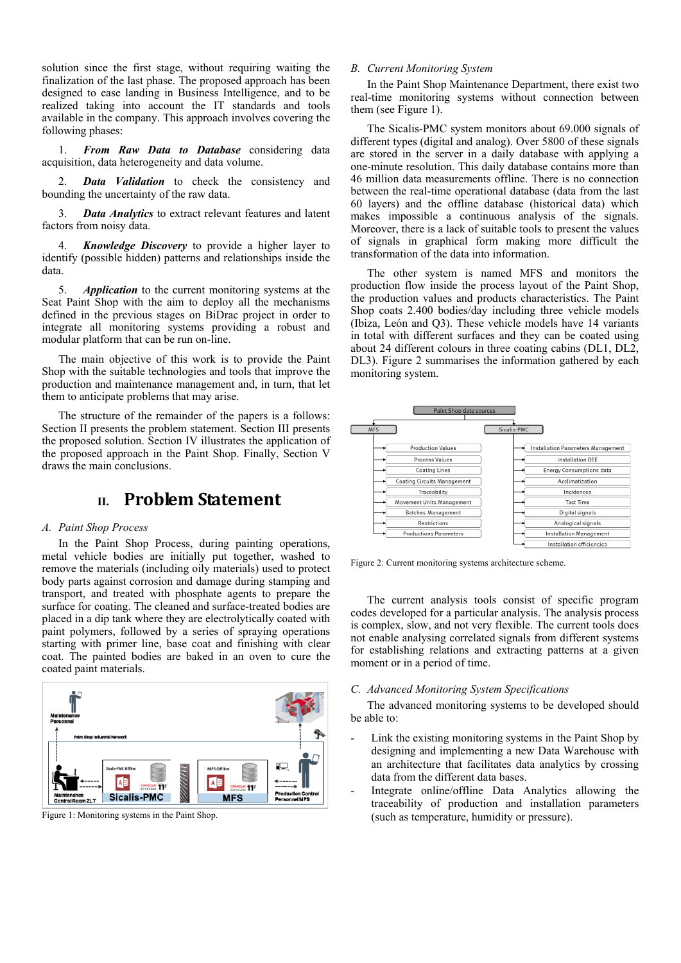solution since the first stage, without requiring waiting the finalization of the last phase. The proposed approach has been designed to ease landing in Business Intelligence, and to be realized taking into account the IT standards and tools available in the company. This approach involves covering the following phases:

1. *From Raw Data to Database* considering data acquisition, data heterogeneity and data volume.

2. *Data Validation* to check the consistency and bounding the uncertainty of the raw data.

3. *Data Analytics* to extract relevant features and latent factors from noisy data.

4. *Knowledge Discovery* to provide a higher layer to identify (possible hidden) patterns and relationships inside the data.

5. *Application* to the current monitoring systems at the Seat Paint Shop with the aim to deploy all the mechanisms defined in the previous stages on BiDrac project in order to integrate all monitoring systems providing a robust and modular platform that can be run on-line.

 The main objective of this work is to provide the Paint Shop with the suitable technologies and tools that improve the production and maintenance management and, in turn, that let them to anticipate problems that may arise.

The structure of the remainder of the papers is a follows: Section II presents the problem statement. Section III presents the proposed solution. Section IV illustrates the application of the proposed approach in the Paint Shop. Finally, Section V draws the main conclusions.

### **II. Problem Statement**

#### *A. Paint Shop Process*

In the Paint Shop Process, during painting operations, metal vehicle bodies are initially put together, washed to remove the materials (including oily materials) used to protect body parts against corrosion and damage during stamping and transport, and treated with phosphate agents to prepare the surface for coating. The cleaned and surface-treated bodies are placed in a dip tank where they are electrolytically coated with paint polymers, followed by a series of spraying operations starting with primer line, base coat and finishing with clear coat. The painted bodies are baked in an oven to cure the coated paint materials.



Figure 1: Monitoring systems in the Paint Shop.

#### *B. Current Monitoring System*

In the Paint Shop Maintenance Department, there exist two real-time monitoring systems without connection between them (see Figure 1).

The Sicalis-PMC system monitors about 69.000 signals of different types (digital and analog). Over 5800 of these signals are stored in the server in a daily database with applying a one-minute resolution. This daily database contains more than 46 million data measurements offline. There is no connection between the real-time operational database (data from the last 60 layers) and the offline database (historical data) which makes impossible a continuous analysis of the signals. Moreover, there is a lack of suitable tools to present the values of signals in graphical form making more difficult the transformation of the data into information.

The other system is named MFS and monitors the production flow inside the process layout of the Paint Shop, the production values and products characteristics. The Paint Shop coats 2.400 bodies/day including three vehicle models (Ibiza, León and Q3). These vehicle models have 14 variants in total with different surfaces and they can be coated using about 24 different colours in three coating cabins (DL1, DL2, DL3). Figure 2 summarises the information gathered by each monitoring system.



Figure 2: Current monitoring systems architecture scheme.

The current analysis tools consist of specific program codes developed for a particular analysis. The analysis process is complex, slow, and not very flexible. The current tools does not enable analysing correlated signals from different systems for establishing relations and extracting patterns at a given moment or in a period of time.

#### *C. Advanced Monitoring System Specifications*

The advanced monitoring systems to be developed should be able to:

- Link the existing monitoring systems in the Paint Shop by designing and implementing a new Data Warehouse with an architecture that facilitates data analytics by crossing data from the different data bases.
- Integrate online/offline Data Analytics allowing the traceability of production and installation parameters (such as temperature, humidity or pressure).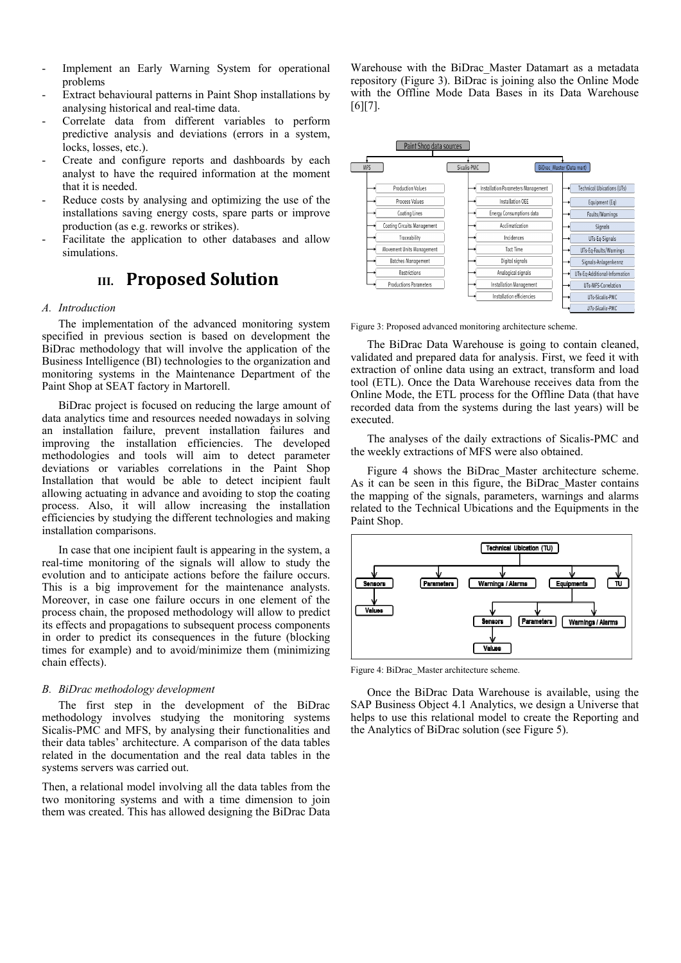- Implement an Early Warning System for operational problems
- Extract behavioural patterns in Paint Shop installations by analysing historical and real-time data.
- Correlate data from different variables to perform predictive analysis and deviations (errors in a system, locks, losses, etc.).
- Create and configure reports and dashboards by each analyst to have the required information at the moment that it is needed.
- Reduce costs by analysing and optimizing the use of the installations saving energy costs, spare parts or improve production (as e.g. reworks or strikes).
- Facilitate the application to other databases and allow simulations.

## **III. Proposed Solution**

#### *A. Introduction*

The implementation of the advanced monitoring system specified in previous section is based on development the BiDrac methodology that will involve the application of the Business Intelligence (BI) technologies to the organization and monitoring systems in the Maintenance Department of the Paint Shop at SEAT factory in Martorell.

BiDrac project is focused on reducing the large amount of data analytics time and resources needed nowadays in solving an installation failure, prevent installation failures and improving the installation efficiencies. The developed methodologies and tools will aim to detect parameter deviations or variables correlations in the Paint Shop Installation that would be able to detect incipient fault allowing actuating in advance and avoiding to stop the coating process. Also, it will allow increasing the installation efficiencies by studying the different technologies and making installation comparisons.

In case that one incipient fault is appearing in the system, a real-time monitoring of the signals will allow to study the evolution and to anticipate actions before the failure occurs. This is a big improvement for the maintenance analysts. Moreover, in case one failure occurs in one element of the process chain, the proposed methodology will allow to predict its effects and propagations to subsequent process components in order to predict its consequences in the future (blocking times for example) and to avoid/minimize them (minimizing chain effects).

#### *B. BiDrac methodology development*

The first step in the development of the BiDrac methodology involves studying the monitoring systems Sicalis-PMC and MFS, by analysing their functionalities and their data tables' architecture. A comparison of the data tables related in the documentation and the real data tables in the systems servers was carried out.

Then, a relational model involving all the data tables from the two monitoring systems and with a time dimension to join them was created. This has allowed designing the BiDrac Data

Warehouse with the BiDrac\_Master Datamart as a metadata repository (Figure 3). BiDrac is joining also the Online Mode with the Offline Mode Data Bases in its Data Warehouse [6][7].



Figure 3: Proposed advanced monitoring architecture scheme.

The BiDrac Data Warehouse is going to contain cleaned, validated and prepared data for analysis. First, we feed it with extraction of online data using an extract, transform and load tool (ETL). Once the Data Warehouse receives data from the Online Mode, the ETL process for the Offline Data (that have recorded data from the systems during the last years) will be executed.

The analyses of the daily extractions of Sicalis-PMC and the weekly extractions of MFS were also obtained.

Figure 4 shows the BiDrac\_Master architecture scheme. As it can be seen in this figure, the BiDrac\_Master contains the mapping of the signals, parameters, warnings and alarms related to the Technical Ubications and the Equipments in the Paint Shop.



Figure 4: BiDrac\_Master architecture scheme.

Once the BiDrac Data Warehouse is available, using the SAP Business Object 4.1 Analytics, we design a Universe that helps to use this relational model to create the Reporting and the Analytics of BiDrac solution (see Figure 5).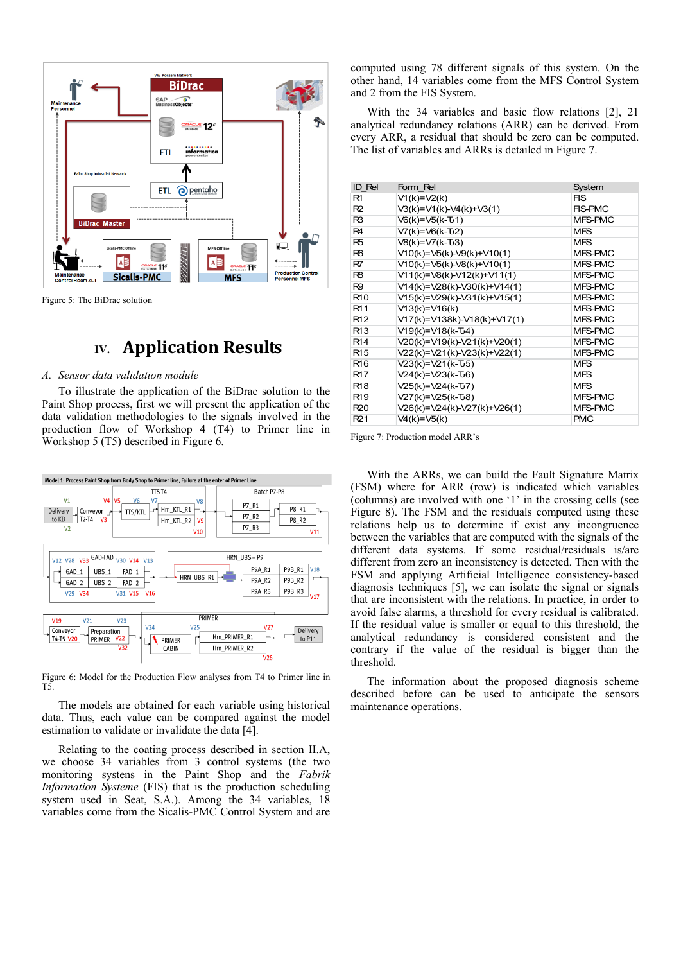

Figure 5: The BiDrac solution

# **IV. Application Results**

#### *A. Sensor data validation module*

To illustrate the application of the BiDrac solution to the Paint Shop process, first we will present the application of the data validation methodologies to the signals involved in the production flow of Workshop 4 (T4) to Primer line in Workshop 5 (T5) described in Figure 6.



Figure 6: Model for the Production Flow analyses from T4 to Primer line in T5

The models are obtained for each variable using historical data. Thus, each value can be compared against the model estimation to validate or invalidate the data [4].

Relating to the coating process described in section II.A, we choose 34 variables from 3 control systems (the two monitoring systens in the Paint Shop and the *Fabrik Information Systeme* (FIS) that is the production scheduling system used in Seat, S.A.). Among the 34 variables, 18 variables come from the Sicalis-PMC Control System and are

computed using 78 different signals of this system. On the other hand, 14 variables come from the MFS Control System and 2 from the FIS System.

With the 34 variables and basic flow relations [2], 21 analytical redundancy relations (ARR) can be derived. From every ARR, a residual that should be zero can be computed. The list of variables and ARRs is detailed in Figure 7.

| ID Rel          | Form Rel                     | System         |
|-----------------|------------------------------|----------------|
| R1              | $V1(k)=V2(k)$                | ПS             |
| R <sub>2</sub>  | V3(k)=V1(k)-V4(k)+V3(1)      | <b>FIS-PMC</b> |
| R3              | V6(k)=V5(k-T1)               | MFS-PMC        |
| R <sub>4</sub>  | V7(k)=V6(k-T2)               | <b>MFS</b>     |
| R <sub>5</sub>  | V8(k)=V7(k-T3)               | <b>MFS</b>     |
| R <sub>6</sub>  | V10(k)=V5(k)-V9(k)+V10(1)    | MFS-PMC        |
| R7              | $V10(k)=V5(k)-V8(k)+V10(1)$  | MFS-PMC        |
| R <sub>8</sub>  | $V11(k)=V8(k)-V12(k)+V11(1)$ | MFS-PMC        |
| R <sub>9</sub>  | V14(k)=V28(k)-V30(k)+V14(1)  | MFS-PMC        |
| R <sub>10</sub> | V15(k)=V29(k)-V31(k)+V15(1)  | MFS-PMC        |
| <b>R11</b>      | $V13(k)=V16(k)$              | MFS-PMC        |
| R12             | V17(k)=V138k)-V18(k)+V17(1)  | MFS-PMC        |
| R13             | V19(k)=V18(k-T4)             | MFS-PMC        |
| R14             | V20(k)=V19(k)-V21(k)+V20(1)  | MFS-PMC        |
| <b>R15</b>      | V22(k)=V21(k)-V23(k)+V22(1)  | MFS-PMC        |
| R <sub>16</sub> | V23(k)=V21(k-U5)             | <b>MFS</b>     |
| R17             | V24(k)=V23(k-To6)            | <b>MFS</b>     |
| R <sub>18</sub> | V25(k)=V24(k-TJ7)            | <b>MFS</b>     |
| R <sub>19</sub> | V27(k)=V25(k-Tu8)            | MFS-PMC        |
| R <sub>20</sub> | V26(k)=V24(k)-V27(k)+V26(1)  | MFS-PMC        |
| R <sub>21</sub> | V4(k)=V5(k)                  | <b>PMC</b>     |

Figure 7: Production model ARR's

With the ARRs, we can build the Fault Signature Matrix (FSM) where for ARR (row) is indicated which variables (columns) are involved with one '1' in the crossing cells (see Figure 8). The FSM and the residuals computed using these relations help us to determine if exist any incongruence between the variables that are computed with the signals of the different data systems. If some residual/residuals is/are different from zero an inconsistency is detected. Then with the FSM and applying Artificial Intelligence consistency-based diagnosis techniques [5], we can isolate the signal or signals that are inconsistent with the relations. In practice, in order to avoid false alarms, a threshold for every residual is calibrated. If the residual value is smaller or equal to this threshold, the analytical redundancy is considered consistent and the contrary if the value of the residual is bigger than the threshold.

The information about the proposed diagnosis scheme described before can be used to anticipate the sensors maintenance operations.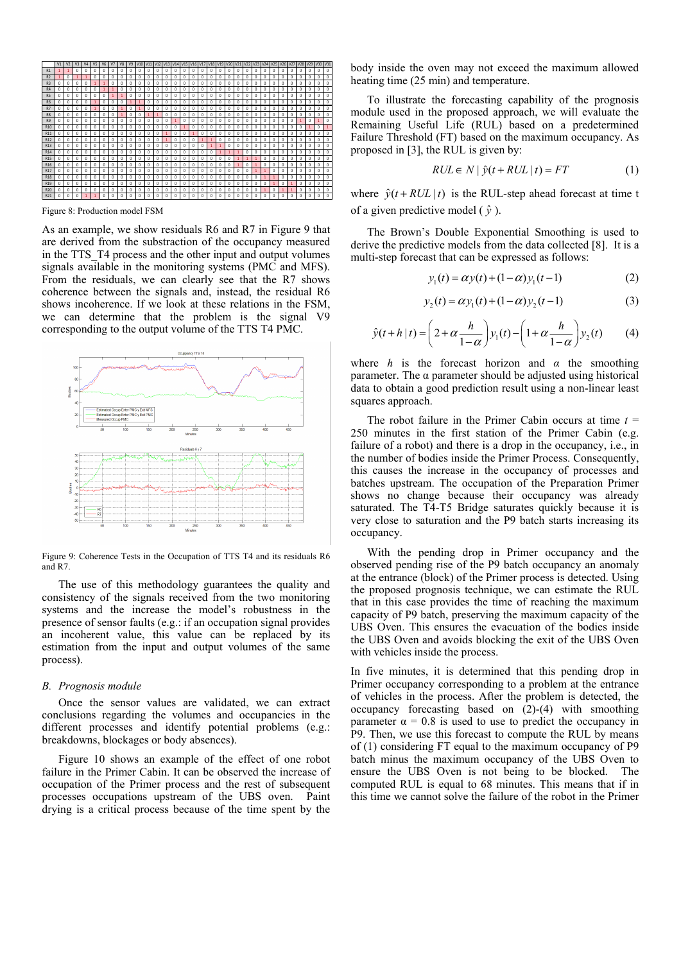

Figure 8: Production model FSM

As an example, we show residuals R6 and R7 in Figure 9 that are derived from the substraction of the occupancy measured in the TTS\_T4 process and the other input and output volumes signals available in the monitoring systems (PMC and MFS). From the residuals, we can clearly see that the R7 shows coherence between the signals and, instead, the residual R6 shows incoherence. If we look at these relations in the FSM, we can determine that the problem is the signal V9 corresponding to the output volume of the TTS T4 PMC.



Figure 9: Coherence Tests in the Occupation of TTS T4 and its residuals R6 and R7.

The use of this methodology guarantees the quality and consistency of the signals received from the two monitoring systems and the increase the model's robustness in the presence of sensor faults (e.g.: if an occupation signal provides an incoherent value, this value can be replaced by its estimation from the input and output volumes of the same process).

#### *B. Prognosis module*

Once the sensor values are validated, we can extract conclusions regarding the volumes and occupancies in the different processes and identify potential problems (e.g.: breakdowns, blockages or body absences).

Figure 10 shows an example of the effect of one robot failure in the Primer Cabin. It can be observed the increase of occupation of the Primer process and the rest of subsequent processes occupations upstream of the UBS oven. Paint drying is a critical process because of the time spent by the body inside the oven may not exceed the maximum allowed heating time (25 min) and temperature.

To illustrate the forecasting capability of the prognosis module used in the proposed approach, we will evaluate the Remaining Useful Life (RUL) based on a predetermined Failure Threshold (FT) based on the maximum occupancy. As proposed in [3], the RUL is given by:

$$
RUL \in N \mid \hat{y}(t + RUL \mid t) = FT \tag{1}
$$

where  $\hat{y}(t + RUL | t)$  is the RUL-step ahead forecast at time t of a given predictive model  $(\hat{v})$ .

The Brown's Double Exponential Smoothing is used to derive the predictive models from the data collected [8]. It is a multi-step forecast that can be expressed as follows:

$$
y_1(t) = \alpha y(t) + (1 - \alpha) y_1(t - 1)
$$
 (2)

$$
y_2(t) = \alpha y_1(t) + (1 - \alpha) y_2(t - 1)
$$
 (3)

$$
\hat{y}(t+h\mid t) = \left(2+\alpha\frac{h}{1-\alpha}\right)y_1(t) - \left(1+\alpha\frac{h}{1-\alpha}\right)y_2(t) \tag{4}
$$

where *h* is the forecast horizon and  $\alpha$  the smoothing parameter. The  $\alpha$  parameter should be adjusted using historical data to obtain a good prediction result using a non-linear least squares approach.

The robot failure in the Primer Cabin occurs at time  $t =$ 250 minutes in the first station of the Primer Cabin (e.g. failure of a robot) and there is a drop in the occupancy, i.e., in the number of bodies inside the Primer Process. Consequently, this causes the increase in the occupancy of processes and batches upstream. The occupation of the Preparation Primer shows no change because their occupancy was already saturated. The T4-T5 Bridge saturates quickly because it is very close to saturation and the P9 batch starts increasing its occupancy.

With the pending drop in Primer occupancy and the observed pending rise of the P9 batch occupancy an anomaly at the entrance (block) of the Primer process is detected. Using the proposed prognosis technique, we can estimate the RUL that in this case provides the time of reaching the maximum capacity of P9 batch, preserving the maximum capacity of the UBS Oven. This ensures the evacuation of the bodies inside the UBS Oven and avoids blocking the exit of the UBS Oven with vehicles inside the process.

In five minutes, it is determined that this pending drop in Primer occupancy corresponding to a problem at the entrance of vehicles in the process. After the problem is detected, the occupancy forecasting based on (2)-(4) with smoothing parameter  $\alpha = 0.8$  is used to use to predict the occupancy in P9. Then, we use this forecast to compute the RUL by means of (1) considering FT equal to the maximum occupancy of P9 batch minus the maximum occupancy of the UBS Oven to ensure the UBS Oven is not being to be blocked. The computed RUL is equal to 68 minutes. This means that if in this time we cannot solve the failure of the robot in the Primer